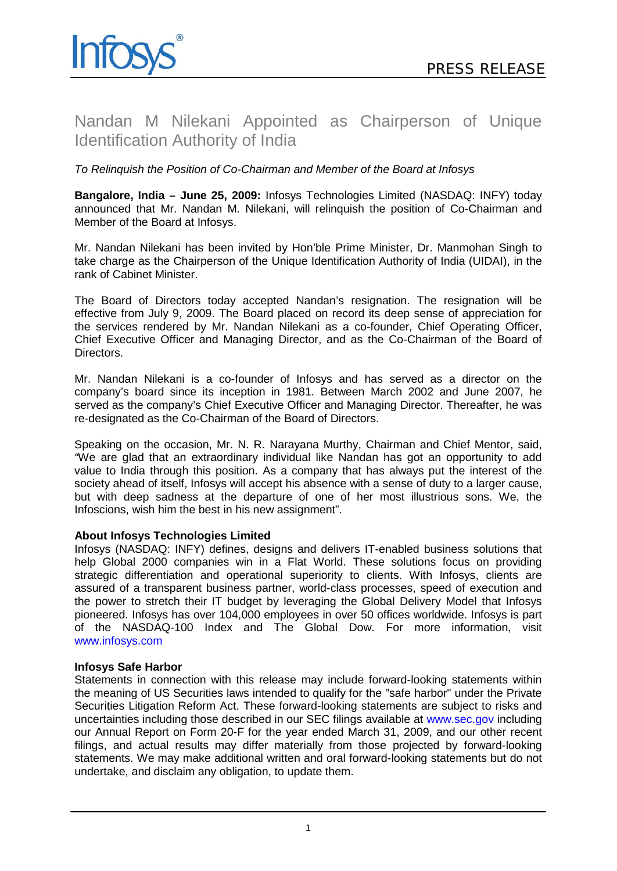

# Nandan M Nilekani Appointed as Chairperson of Unique Identification Authority of India

### *To Relinquish the Position of Co-Chairman and Member of the Board at Infosys*

**Bangalore, India – June 25, 2009:** Infosys Technologies Limited (NASDAQ: INFY) today announced that Mr. Nandan M. Nilekani, will relinquish the position of Co-Chairman and Member of the Board at Infosys.

Mr. Nandan Nilekani has been invited by Hon'ble Prime Minister, Dr. Manmohan Singh to take charge as the Chairperson of the Unique Identification Authority of India (UIDAI), in the rank of Cabinet Minister.

The Board of Directors today accepted Nandan's resignation. The resignation will be effective from July 9, 2009. The Board placed on record its deep sense of appreciation for the services rendered by Mr. Nandan Nilekani as a co-founder, Chief Operating Officer, Chief Executive Officer and Managing Director, and as the Co-Chairman of the Board of Directors.

Mr. Nandan Nilekani is a co-founder of Infosys and has served as a director on the company's board since its inception in 1981. Between March 2002 and June 2007, he served as the company's Chief Executive Officer and Managing Director. Thereafter, he was re-designated as the Co-Chairman of the Board of Directors.

Speaking on the occasion, Mr. N. R. Narayana Murthy, Chairman and Chief Mentor, said, *"*We are glad that an extraordinary individual like Nandan has got an opportunity to add value to India through this position. As a company that has always put the interest of the society ahead of itself, Infosys will accept his absence with a sense of duty to a larger cause, but with deep sadness at the departure of one of her most illustrious sons. We, the Infoscions, wish him the best in his new assignment".

#### **About Infosys Technologies Limited**

Infosys (NASDAQ: INFY) defines, designs and delivers IT-enabled business solutions that help Global 2000 companies win in a Flat World. These solutions focus on providing strategic differentiation and operational superiority to clients. With Infosys, clients are assured of a transparent business partner, world-class processes, speed of execution and the power to stretch their IT budget by leveraging the Global Delivery Model that Infosys pioneered. Infosys has over 104,000 employees in over 50 offices worldwide. Infosys is part of the NASDAQ-100 Index and The Global Dow. For more information, visit [www.infosys.com](http://www.infosys.com/)

#### **Infosys Safe Harbor**

Statements in connection with this release may include forward-looking statements within the meaning of US Securities laws intended to qualify for the "safe harbor" under the Private Securities Litigation Reform Act. These forward-looking statements are subject to risks and uncertainties including those described in our SEC filings available at [www.sec.gov](http://www.sec.gov/) including our Annual Report on Form 20-F for the year ended March 31, 2009, and our other recent filings, and actual results may differ materially from those projected by forward-looking statements. We may make additional written and oral forward-looking statements but do not undertake, and disclaim any obligation, to update them.